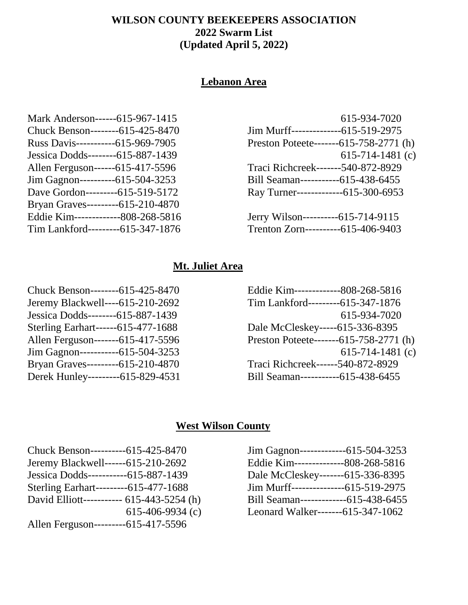## **WILSON COUNTY BEEKEEPERS ASSOCIATION 2022 Swarm List (Updated April 5, 2022)**

# **Lebanon Area**

| Mark Anderson------615-967-1415    |
|------------------------------------|
| Chuck Benson--------615-425-8470   |
| Russ Davis------------615-969-7905 |
| Jessica Dodds--------615-887-1439  |
| Allen Ferguson------615-417-5596   |
| Jim Gagnon----------615-504-3253   |
| Dave Gordon---------615-519-5172   |
| Bryan Graves---------615-210-4870  |
| Eddie Kim-------------808-268-5816 |
| Tim Lankford---------615-347-1876  |
|                                    |

| 615-934-7020                           |
|----------------------------------------|
| Jim Murff----------------615-519-2975  |
| Preston Poteete-------615-758-2771 (h) |
| 615-714-1481 $(c)$                     |
| Traci Richcreek-------540-872-8929     |
| Bill Seaman------------615-438-6455    |
| Ray Turner---------------615-300-6953  |
|                                        |
| Jerry Wilson-----------615-714-9115    |
| Trenton Zorn----------615-406-9403     |

# **Mt. Juliet Area**

| Chuck Benson--------615-425-8470   |
|------------------------------------|
| Jeremy Blackwell----615-210-2692   |
| Jessica Dodds--------615-887-1439  |
| Sterling Earhart------615-477-1688 |
| Allen Ferguson-------615-417-5596  |
| Jim Gagnon------------615-504-3253 |
| Bryan Graves---------615-210-4870  |
| Derek Hunley---------615-829-4531  |
|                                    |

| Eddie Kim--------------808-268-5816    |
|----------------------------------------|
| Tim Lankford---------615-347-1876      |
| 615-934-7020                           |
| Dale McCleskey-----615-336-8395        |
| Preston Poteete-------615-758-2771 (h) |
| 615-714-1481 $(c)$                     |
| Traci Richcreek------540-872-8929      |
| Bill Seaman------------615-438-6455    |
|                                        |

# **West Wilson County**

| Chuck Benson----------615-425-8470        |
|-------------------------------------------|
| Jeremy Blackwell------615-210-2692        |
| Jessica Dodds-----------615-887-1439      |
| Sterling Earhart---------615-477-1688     |
| David Elliott----------- 615-443-5254 (h) |
| 615-406-9934 $(c)$                        |
| Allen Ferguson----------615-417-5596      |
|                                           |

| Jim Gagnon---------------615-504-3253 |  |
|---------------------------------------|--|
| Eddie Kim---------------808-268-5816  |  |
| Dale McCleskey-------615-336-8395     |  |
| Jim Murff----------------615-519-2975 |  |
| Bill Seaman--------------615-438-6455 |  |
| Leonard Walker-------615-347-1062     |  |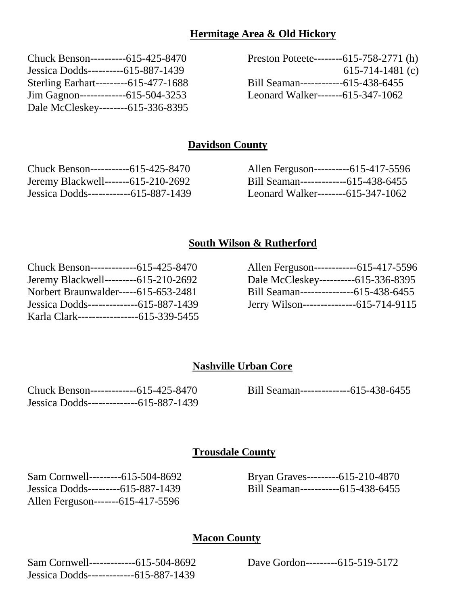### **Hermitage Area & Old Hickory**

| Chuck Benson----------615-425-8470    |  |
|---------------------------------------|--|
| Jessica Dodds----------615-887-1439   |  |
| Sterling Earhart---------615-477-1688 |  |
| Jim Gagnon--------------615-504-3253  |  |
| Dale McCleskey--------615-336-8395    |  |
|                                       |  |

Preston Poteete--------615-758-2771 (h) 615-714-1481 (c) Bill Seaman------------615-438-6455 Leonard Walker-------615-347-1062

### **Davidson County**

| Chuck Benson------------615-425-8470    |  |
|-----------------------------------------|--|
| Jeremy Blackwell-------615-210-2692     |  |
| Jessica Dodds--------------615-887-1439 |  |

| Allen Ferguson----------615-417-5596  |  |
|---------------------------------------|--|
| Bill Seaman--------------615-438-6455 |  |
| Leonard Walker--------615-347-1062    |  |

## **South Wilson & Rutherford**

| Chuck Benson--------------615-425-8470    |  |
|-------------------------------------------|--|
| Jeremy Blackwell---------615-210-2692     |  |
| Norbert Braunwalder-----615-653-2481      |  |
| Jessica Dodds---------------615-887-1439  |  |
| Karla Clark------------------615-339-5455 |  |

| Allen Ferguson-------------615-417-5596 |  |
|-----------------------------------------|--|
| Dale McCleskey----------615-336-8395    |  |
| Bill Seaman---------------615-438-6455  |  |
| Jerry Wilson---------------615-714-9115 |  |

#### **Nashville Urban Core**

| Chuck Benson---------------615-425-8470  |  |
|------------------------------------------|--|
| Jessica Dodds---------------615-887-1439 |  |

Bill Seaman--------------615-438-6455

### **Trousdale County**

Sam Cornwell---------615-504-8692 Jessica Dodds---------615-887-1439 Allen Ferguson-------615-417-5596

Bryan Graves---------615-210-4870 Bill Seaman-----------615-438-6455

#### **Macon County**

| Sam Cornwell--------------615-504-8692  |  |
|-----------------------------------------|--|
| Jessica Dodds--------------615-887-1439 |  |

Dave Gordon---------615-519-5172